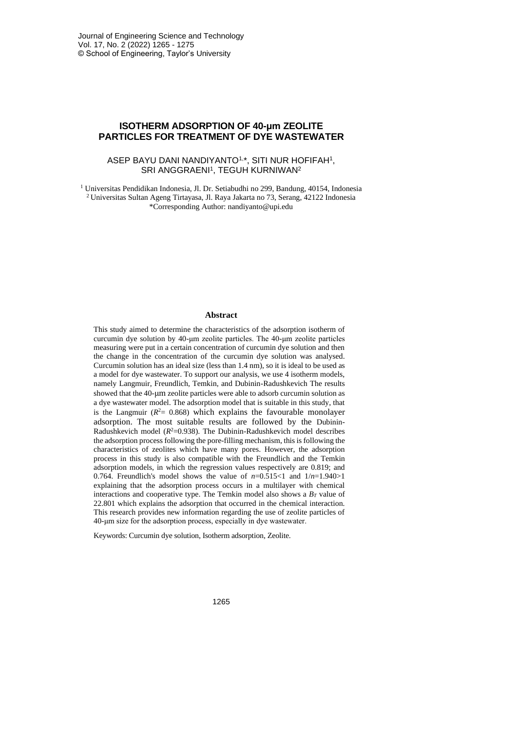# **ISOTHERM ADSORPTION OF 40-μm ZEOLITE PARTICLES FOR TREATMENT OF DYE WASTEWATER**

## ASEP BAYU DANI NANDIYANTO1, \*, SITI NUR HOFIFAH<sup>1</sup> , SRI ANGGRAENI<sup>1</sup>, TEGUH KURNIWAN<sup>2</sup>

<sup>1</sup> Universitas Pendidikan Indonesia, Jl. Dr. Setiabudhi no 299, Bandung, 40154, Indonesia <sup>2</sup>Universitas Sultan Ageng Tirtayasa, Jl. Raya Jakarta no 73, Serang, 42122 Indonesia \*Corresponding Author: nandiyanto@upi.edu

#### **Abstract**

This study aimed to determine the characteristics of the adsorption isotherm of curcumin dye solution by 40-μm zeolite particles. The 40-μm zeolite particles measuring were put in a certain concentration of curcumin dye solution and then the change in the concentration of the curcumin dye solution was analysed. Curcumin solution has an ideal size (less than 1.4 nm), so it is ideal to be used as a model for dye wastewater. To support our analysis, we use 4 isotherm models, namely Langmuir, Freundlich, Temkin, and Dubinin-Radushkevich The results showed that the 40-μm zeolite particles were able to adsorb curcumin solution as a dye wastewater model. The adsorption model that is suitable in this study, that is the Langmuir  $(R<sup>2</sup>= 0.868)$  which explains the favourable monolayer adsorption. The most suitable results are followed by the Dubinin-Radushkevich model  $(R^2=0.938)$ . The Dubinin-Radushkevich model describes the adsorption process following the pore-filling mechanism, this is following the characteristics of zeolites which have many pores. However, the adsorption process in this study is also compatible with the Freundlich and the Temkin adsorption models, in which the regression values respectively are 0.819; and 0.764. Freundlich's model shows the value of  $n=0.515<1$  and  $1/n=1.940>1$ explaining that the adsorption process occurs in a multilayer with chemical interactions and cooperative type. The Temkin model also shows a *B<sup>T</sup>* value of 22.801 which explains the adsorption that occurred in the chemical interaction. This research provides new information regarding the use of zeolite particles of 40-μm size for the adsorption process, especially in dye wastewater.

Keywords: Curcumin dye solution, Isotherm adsorption, Zeolite.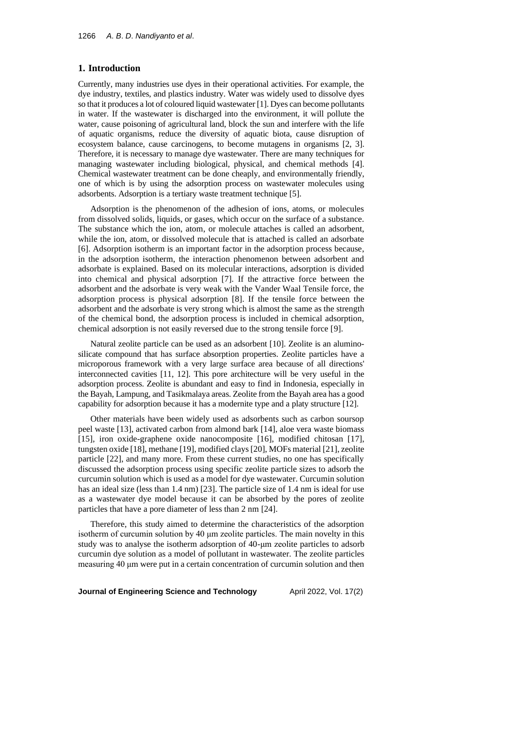## **1. Introduction**

Currently, many industries use dyes in their operational activities. For example, the dye industry, textiles, and plastics industry. Water was widely used to dissolve dyes so that it produces a lot of coloured liquid wastewater [1]. Dyes can become pollutants in water. If the wastewater is discharged into the environment, it will pollute the water, cause poisoning of agricultural land, block the sun and interfere with the life of aquatic organisms, reduce the diversity of aquatic biota, cause disruption of ecosystem balance, cause carcinogens, to become mutagens in organisms [2, 3]. Therefore, it is necessary to manage dye wastewater. There are many techniques for managing wastewater including biological, physical, and chemical methods [4]. Chemical wastewater treatment can be done cheaply, and environmentally friendly, one of which is by using the adsorption process on wastewater molecules using adsorbents. Adsorption is a tertiary waste treatment technique [5].

Adsorption is the phenomenon of the adhesion of ions, atoms, or molecules from dissolved solids, liquids, or gases, which occur on the surface of a substance. The substance which the ion, atom, or molecule attaches is called an adsorbent, while the ion, atom, or dissolved molecule that is attached is called an adsorbate [6]. Adsorption isotherm is an important factor in the adsorption process because, in the adsorption isotherm, the interaction phenomenon between adsorbent and adsorbate is explained. Based on its molecular interactions, adsorption is divided into chemical and physical adsorption [7]. If the attractive force between the adsorbent and the adsorbate is very weak with the Vander Waal Tensile force, the adsorption process is physical adsorption [8]. If the tensile force between the adsorbent and the adsorbate is very strong which is almost the same as the strength of the chemical bond, the adsorption process is included in chemical adsorption, chemical adsorption is not easily reversed due to the strong tensile force [9].

Natural zeolite particle can be used as an adsorbent [10]. Zeolite is an aluminosilicate compound that has surface absorption properties. Zeolite particles have a microporous framework with a very large surface area because of all directions' interconnected cavities [11, 12]. This pore architecture will be very useful in the adsorption process. Zeolite is abundant and easy to find in Indonesia, especially in the Bayah, Lampung, and Tasikmalaya areas. Zeolite from the Bayah area has a good capability for adsorption because it has a modernite type and a platy structure [12].

Other materials have been widely used as adsorbents such as carbon soursop peel waste [13], activated carbon from almond bark [14], aloe vera waste biomass [15], iron oxide-graphene oxide nanocomposite [16], modified chitosan [17], tungsten oxide [18], methane [19], modified clays [20], MOFs material [21], zeolite particle [22], and many more. From these current studies, no one has specifically discussed the adsorption process using specific zeolite particle sizes to adsorb the curcumin solution which is used as a model for dye wastewater. Curcumin solution has an ideal size (less than 1.4 nm) [23]. The particle size of 1.4 nm is ideal for use as a wastewater dye model because it can be absorbed by the pores of zeolite particles that have a pore diameter of less than 2 nm [24].

Therefore, this study aimed to determine the characteristics of the adsorption isotherm of curcumin solution by 40 μm zeolite particles. The main novelty in this study was to analyse the isotherm adsorption of 40-μm zeolite particles to adsorb curcumin dye solution as a model of pollutant in wastewater. The zeolite particles measuring 40 μm were put in a certain concentration of curcumin solution and then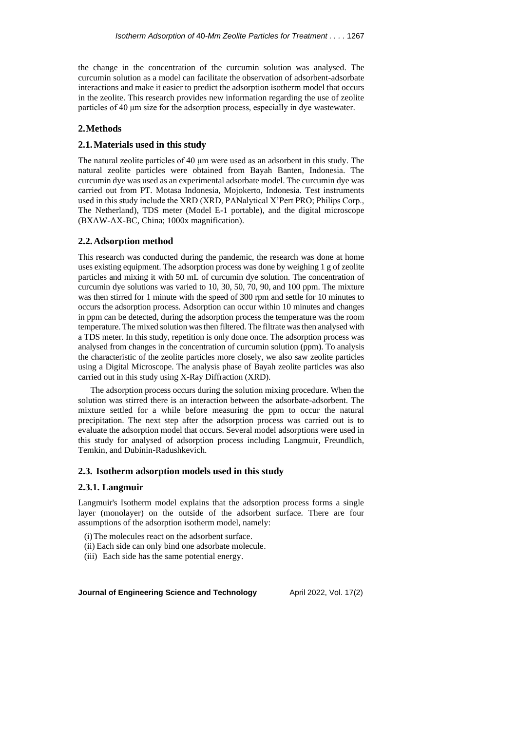the change in the concentration of the curcumin solution was analysed. The curcumin solution as a model can facilitate the observation of adsorbent-adsorbate interactions and make it easier to predict the adsorption isotherm model that occurs in the zeolite. This research provides new information regarding the use of zeolite particles of 40 μm size for the adsorption process, especially in dye wastewater.

## **2.Methods**

## **2.1.Materials used in this study**

The natural zeolite particles of 40 μm were used as an adsorbent in this study. The natural zeolite particles were obtained from Bayah Banten, Indonesia. The curcumin dye was used as an experimental adsorbate model. The curcumin dye was carried out from PT. Motasa Indonesia, Mojokerto, Indonesia. Test instruments used in this study include the XRD (XRD, PANalytical X'Pert PRO; Philips Corp., The Netherland), TDS meter (Model E-1 portable), and the digital microscope (BXAW-AX-BC, China; 1000x magnification).

# **2.2.Adsorption method**

This research was conducted during the pandemic, the research was done at home uses existing equipment. The adsorption process was done by weighing 1 g of zeolite particles and mixing it with 50 mL of curcumin dye solution. The concentration of curcumin dye solutions was varied to 10, 30, 50, 70, 90, and 100 ppm. The mixture was then stirred for 1 minute with the speed of 300 rpm and settle for 10 minutes to occurs the adsorption process. Adsorption can occur within 10 minutes and changes in ppm can be detected, during the adsorption process the temperature was the room temperature. The mixed solution was then filtered. The filtrate was then analysed with a TDS meter. In this study, repetition is only done once. The adsorption process was analysed from changes in the concentration of curcumin solution (ppm). To analysis the characteristic of the zeolite particles more closely, we also saw zeolite particles using a Digital Microscope. The analysis phase of Bayah zeolite particles was also carried out in this study using X-Ray Diffraction (XRD).

The adsorption process occurs during the solution mixing procedure. When the solution was stirred there is an interaction between the adsorbate-adsorbent. The mixture settled for a while before measuring the ppm to occur the natural precipitation. The next step after the adsorption process was carried out is to evaluate the adsorption model that occurs. Several model adsorptions were used in this study for analysed of adsorption process including Langmuir, Freundlich, Temkin, and Dubinin-Radushkevich.

# **2.3. Isotherm adsorption models used in this study**

### **2.3.1. Langmuir**

Langmuir's Isotherm model explains that the adsorption process forms a single layer (monolayer) on the outside of the adsorbent surface. There are four assumptions of the adsorption isotherm model, namely:

- (i)The molecules react on the adsorbent surface.
- (ii) Each side can only bind one adsorbate molecule.
- (iii) Each side has the same potential energy.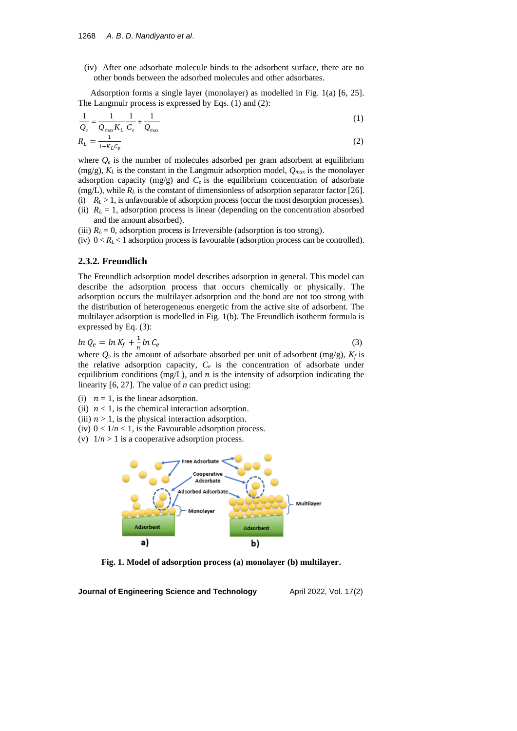(iv) After one adsorbate molecule binds to the adsorbent surface, there are no other bonds between the adsorbed molecules and other adsorbates.

Adsorption forms a single layer (monolayer) as modelled in Fig. 1(a) [6, 25]. The Langmuir process is expressed by Eqs. (1) and (2):

$$
\frac{1}{Q_e} = \frac{1}{Q_{\text{max}} K_L} \frac{1}{C_e} + \frac{1}{Q_{\text{max}}}
$$
(1)  

$$
R_L = \frac{1}{1 + K_L C_e}
$$
(2)

where  $Q_e$  is the number of molecules adsorbed per gram adsorbent at equilibrium  $(mg/g)$ ,  $K_L$  is the constant in the Langmuir adsorption model,  $Q_{max}$  is the monolayer adsorption capacity (mg/g) and  $C_e$  is the equilibrium concentration of adsorbate  $(mg/L)$ , while  $R_L$  is the constant of dimensionless of adsorption separator factor [26]. (i) *R<sup>L</sup>* > 1, is unfavourable of adsorption process (occur the most desorption processes).

- (ii)  $R_L = 1$ , adsorption process is linear (depending on the concentration absorbed
	- and the amount absorbed).
- (iii)  $R_L = 0$ , adsorption process is Irreversible (adsorption is too strong).
- (iv)  $0 < R_L < 1$  adsorption process is favourable (adsorption process can be controlled).

# **2.3.2. Freundlich**

The Freundlich adsorption model describes adsorption in general. This model can describe the adsorption process that occurs chemically or physically. The adsorption occurs the multilayer adsorption and the bond are not too strong with the distribution of heterogeneous energetic from the active site of adsorbent. The multilayer adsorption is modelled in Fig. 1(b). The Freundlich isotherm formula is expressed by Eq. (3):

$$
\ln Q_e = \ln K_f + \frac{1}{n} \ln C_e \tag{3}
$$

where  $Q_e$  is the amount of adsorbate absorbed per unit of adsorbent (mg/g),  $K_f$  is the relative adsorption capacity,  $C_e$  is the concentration of adsorbate under equilibrium conditions (mg/L), and  $n$  is the intensity of adsorption indicating the linearity [6, 27]. The value of *n* can predict using:

- (i)  $n = 1$ , is the linear adsorption.
- (ii)  $n < 1$ , is the chemical interaction adsorption.
- (iii)  $n > 1$ , is the physical interaction adsorption.
- (iv)  $0 < 1/n < 1$ , is the Favourable adsorption process.
- (v)  $1/n > 1$  is a cooperative adsorption process.



**Fig. 1. Model of adsorption process (a) monolayer (b) multilayer.**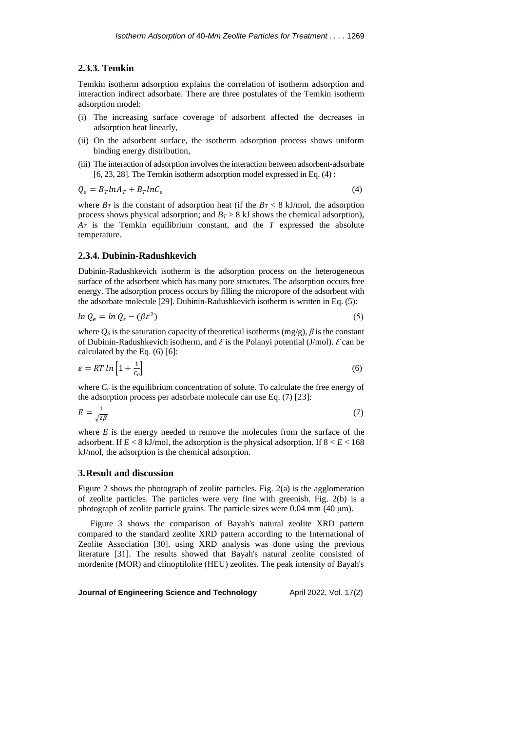### **2.3.3. Temkin**

Temkin isotherm adsorption explains the correlation of isotherm adsorption and interaction indirect adsorbate. There are three postulates of the Temkin isotherm adsorption model:

- (i) The increasing surface coverage of adsorbent affected the decreases in adsorption heat linearly,
- (ii) On the adsorbent surface, the isotherm adsorption process shows uniform binding energy distribution,
- (iii) The interaction of adsorption involves the interaction between adsorbent-adsorbate [6, 23, 28]. The Temkin isotherm adsorption model expressed in Eq. (4) :

$$
Q_e = B_T ln A_T + B_T ln C_e
$$

(4)

where  $B_T$  is the constant of adsorption heat (if the  $B_T < 8$  kJ/mol, the adsorption process shows physical adsorption; and  $B_T > 8$  kJ shows the chemical adsorption), *A<sup>T</sup>* is the Temkin equilibrium constant, and the *T* expressed the absolute temperature.

## **2.3.4. Dubinin-Radushkevich**

Dubinin-Radushkevich isotherm is the adsorption process on the heterogeneous surface of the adsorbent which has many pore structures. The adsorption occurs free energy. The adsorption process occurs by filling the micropore of the adsorbent with the adsorbate molecule [29]. Dubinin-Radushkevich isotherm is written in Eq. (5):

$$
ln Q_e = ln Q_s - (\beta \varepsilon^2)
$$
\n(5)

where  $Q_S$  is the saturation capacity of theoretical isotherms (mg/g),  $\beta$  is the constant of Dubinin-Radushkevich isotherm, and  $\mathcal E$  is the Polanyi potential (J/mol).  $\mathcal E$  can be calculated by the Eq. (6) [6]:

$$
\varepsilon = RT \ln \left[ 1 + \frac{1}{c_e} \right] \tag{6}
$$

where  $C_e$  is the equilibrium concentration of solute. To calculate the free energy of the adsorption process per adsorbate molecule can use Eq. (7) [23]:

$$
E = \frac{1}{\sqrt{2\beta}}\tag{7}
$$

where  $E$  is the energy needed to remove the molecules from the surface of the adsorbent. If  $E < 8$  kJ/mol, the adsorption is the physical adsorption. If  $8 < E < 168$ kJ/mol, the adsorption is the chemical adsorption.

## **3.Result and discussion**

Figure 2 shows the photograph of zeolite particles. Fig. 2(a) is the agglomeration of zeolite particles. The particles were very fine with greenish. Fig. 2(b) is a photograph of zeolite particle grains. The particle sizes were 0.04 mm (40 μm).

Figure 3 shows the comparison of Bayah's natural zeolite XRD pattern compared to the standard zeolite XRD pattern according to the International of Zeolite Association [30]. using XRD analysis was done using the previous literature [31]. The results showed that Bayah's natural zeolite consisted of mordenite (MOR) and clinoptilolite (HEU) zeolites. The peak intensity of Bayah's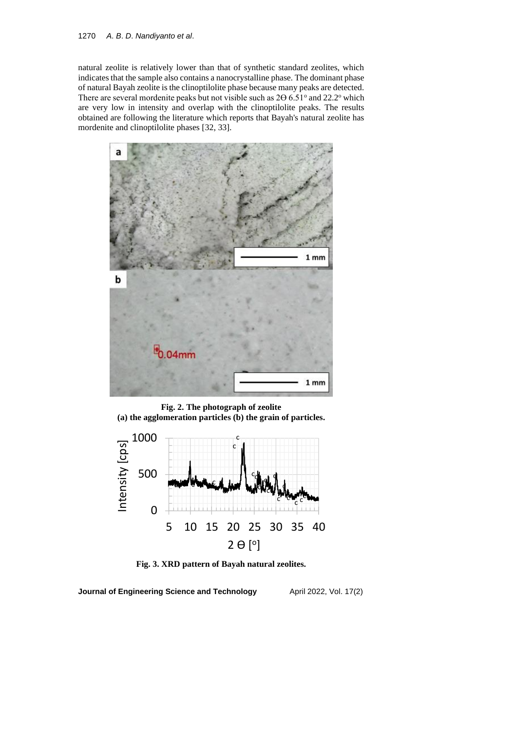## 1270 *A*. *B*. *D*. *Nandiyanto et al*.

natural zeolite is relatively lower than that of synthetic standard zeolites, which indicates that the sample also contains a nanocrystalline phase. The dominant phase of natural Bayah zeolite is the clinoptilolite phase because many peaks are detected. There are several mordenite peaks but not visible such as  $2\Theta$  6.51° and 22.2° which are very low in intensity and overlap with the clinoptilolite peaks. The results obtained are following the literature which reports that Bayah's natural zeolite has mordenite and clinoptilolite phases [32, 33].



**Fig. 2. The photograph of zeolite (a) the agglomeration particles (b) the grain of particles.**



**Fig. 3. XRD pattern of Bayah natural zeolites.**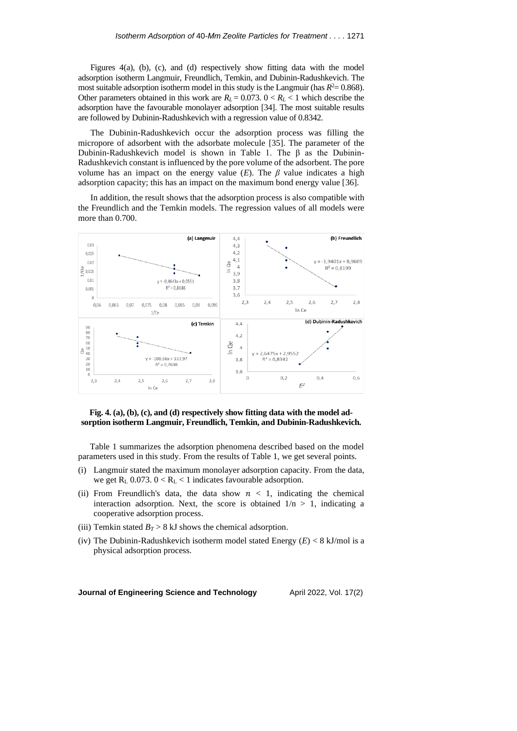Figures 4(a), (b), (c), and (d) respectively show fitting data with the model adsorption isotherm Langmuir, Freundlich, Temkin, and Dubinin-Radushkevich. The most suitable adsorption isotherm model in this study is the Langmuir (has  $R^2 = 0.868$ ). Other parameters obtained in this work are  $R_L$  = 0.073.  $0 < R_L$  < 1 which describe the adsorption have the favourable monolayer adsorption [34]. The most suitable results are followed by Dubinin-Radushkevich with a regression value of 0.8342.

The Dubinin-Radushkevich occur the adsorption process was filling the micropore of adsorbent with the adsorbate molecule [35]. The parameter of the Dubinin-Radushkevich model is shown in Table 1. The  $\beta$  as the Dubinin-Radushkevich constant is influenced by the pore volume of the adsorbent. The pore volume has an impact on the energy value  $(E)$ . The  $\beta$  value indicates a high adsorption capacity; this has an impact on the maximum bond energy value [36].

In addition, the result shows that the adsorption process is also compatible with the Freundlich and the Temkin models. The regression values of all models were more than 0.700.



## **Fig. 4. (a), (b), (c), and (d) respectively show fitting data with the model adsorption isotherm Langmuir, Freundlich, Temkin, and Dubinin-Radushkevich.**

Table 1 summarizes the adsorption phenomena described based on the model parameters used in this study. From the results of Table 1, we get several points.

- (i) Langmuir stated the maximum monolayer adsorption capacity. From the data, we get  $R_L$  0.073.  $0 < R_L < 1$  indicates favourable adsorption.
- (ii) From Freundlich's data, the data show  $n < 1$ , indicating the chemical interaction adsorption. Next, the score is obtained  $1/n > 1$ , indicating a cooperative adsorption process.
- (iii) Temkin stated  $B_T > 8$  kJ shows the chemical adsorption.
- (iv) The Dubinin-Radushkevich isotherm model stated Energy (*E*) < 8 kJ/mol is a physical adsorption process.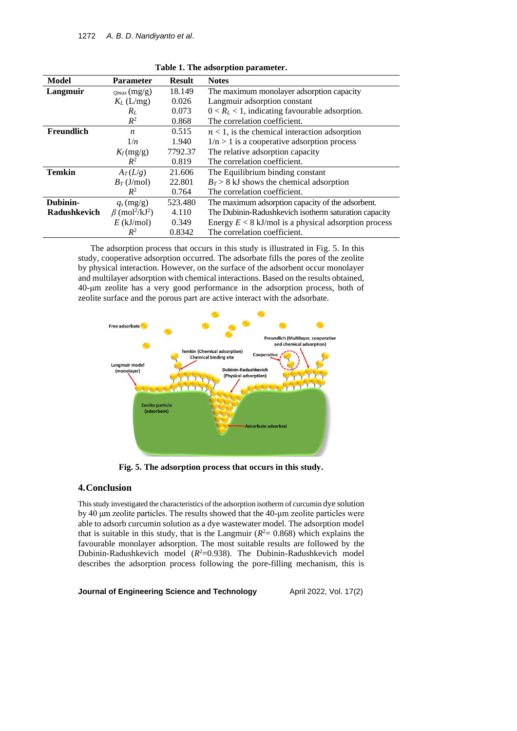| Model         | <b>Parameter</b>                             | <b>Result</b> | <b>Notes</b>                                           |
|---------------|----------------------------------------------|---------------|--------------------------------------------------------|
| Langmuir      | $_{Omax}(mg/g)$                              | 18.149        | The maximum monolayer adsorption capacity              |
|               | $K_L$ (L/mg)                                 | 0.026         | Langmuir adsorption constant                           |
|               | $R_L$                                        | 0.073         | $0 < R_L < 1$ , indicating favourable adsorption.      |
|               | $R^2$                                        | 0.868         | The correlation coefficient.                           |
| Freundlich    | $\boldsymbol{n}$                             | 0.515         | $n < 1$ , is the chemical interaction adsorption       |
|               | 1/n                                          | 1.940         | $1/n > 1$ is a cooperative adsorption process          |
|               | $K_f$ (mg/g)                                 | 7792.37       | The relative adsorption capacity                       |
|               | $R^2$                                        | 0.819         | The correlation coefficient.                           |
| <b>Temkin</b> | $A_T(L/g)$                                   | 21.606        | The Equilibrium binding constant                       |
|               | $B_T$ (J/mol)                                | 22.801        | $B_T > 8$ kJ shows the chemical adsorption             |
|               | $R^2$                                        | 0.764         | The correlation coefficient.                           |
| Dubinin-      | $q_s$ (mg/g)                                 | 523.480       | The maximum adsorption capacity of the adsorbent.      |
| Radushkevich  | $\beta$ (mol <sup>2</sup> /kJ <sup>2</sup> ) | 4.110         | The Dubinin-Radushkevich isotherm saturation capacity  |
|               | $E$ (kJ/mol)                                 | 0.349         | Energy $E < 8$ kJ/mol is a physical adsorption process |
|               | $R^2$                                        | 0.8342        | The correlation coefficient.                           |

**Table 1. The adsorption parameter.**

The adsorption process that occurs in this study is illustrated in Fig. 5. In this study, cooperative adsorption occurred. The adsorbate fills the pores of the zeolite by physical interaction. However, on the surface of the adsorbent occur monolayer and multilayer adsorption with chemical interactions. Based on the results obtained, 40-μm zeolite has a very good performance in the adsorption process, both of zeolite surface and the porous part are active interact with the adsorbate.



**Fig. 5. The adsorption process that occurs in this study.**

# **4.Conclusion**

This study investigated the characteristics of the adsorption isotherm of curcumin dye solution by 40 μm zeolite particles. The results showed that the 40-μm zeolite particles were able to adsorb curcumin solution as a dye wastewater model. The adsorption model that is suitable in this study, that is the Langmuir  $(R<sup>2</sup>= 0.868)$  which explains the favourable monolayer adsorption. The most suitable results are followed by the Dubinin-Radushkevich model ( $R^2=0.938$ ). The Dubinin-Radushkevich model describes the adsorption process following the pore-filling mechanism, this is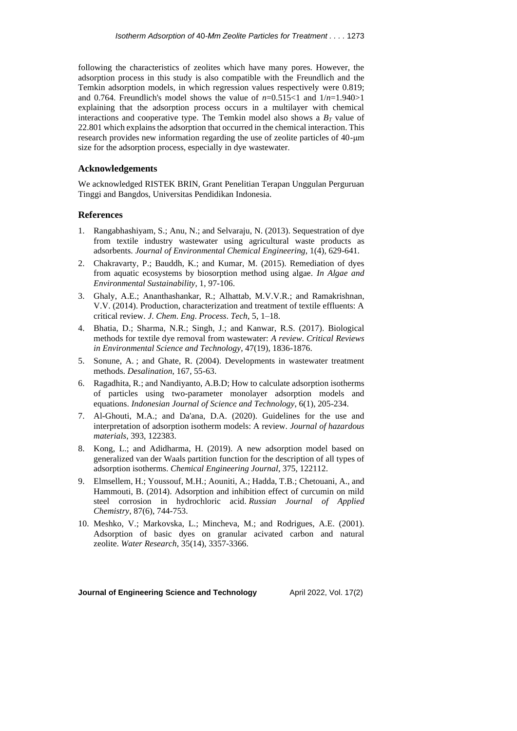following the characteristics of zeolites which have many pores. However, the adsorption process in this study is also compatible with the Freundlich and the Temkin adsorption models, in which regression values respectively were 0.819; and 0.764. Freundlich's model shows the value of *n*=0.515<1 and 1/*n*=1.940>1 explaining that the adsorption process occurs in a multilayer with chemical interactions and cooperative type. The Temkin model also shows a  $B_T$  value of 22.801 which explains the adsorption that occurred in the chemical interaction. This research provides new information regarding the use of zeolite particles of 40-μm size for the adsorption process, especially in dye wastewater.

## **Acknowledgements**

We acknowledged RISTEK BRIN, Grant Penelitian Terapan Unggulan Perguruan Tinggi and Bangdos, Universitas Pendidikan Indonesia.

## **References**

- 1. Rangabhashiyam, S.; Anu, N.; and Selvaraju, N. (2013). Sequestration of dye from textile industry wastewater using agricultural waste products as adsorbents. *Journal of Environmental Chemical Engineering*, 1(4), 629-641.
- 2. Chakravarty, P.; Bauddh, K.; and Kumar, M. (2015). Remediation of dyes from aquatic ecosystems by biosorption method using algae. *In Algae and Environmental Sustainability*, 1, 97-106.
- 3. Ghaly, A.E.; Ananthashankar, R.; Alhattab, M.V.V.R.; and Ramakrishnan, V.V. (2014). Production, characterization and treatment of textile effluents: A critical review. *J*. *Chem*. *Eng*. *Process*. *Tech*, 5, 1–18.
- 4. Bhatia, D.; Sharma, N.R.; Singh, J.; and Kanwar, R.S. (2017). Biological methods for textile dye removal from wastewater: *A review*. *Critical Reviews in Environmental Science and Technology*, 47(19), 1836-1876.
- 5. Sonune, A. ; and Ghate, R. (2004). Developments in wastewater treatment methods. *Desalination*, 167, 55-63.
- 6. Ragadhita, R.; and Nandiyanto, A.B.D; How to calculate adsorption isotherms of particles using two-parameter monolayer adsorption models and equations. *Indonesian Journal of Science and Technology*, 6(1), 205-234.
- 7. Al-Ghouti, M.A.; and Da'ana, D.A. (2020). Guidelines for the use and interpretation of adsorption isotherm models: A review. *Journal of hazardous materials*, 393, 122383.
- 8. Kong, L.; and Adidharma, H. (2019). A new adsorption model based on generalized van der Waals partition function for the description of all types of adsorption isotherms. *Chemical Engineering Journal*, 375, 122112.
- 9. Elmsellem, H.; Youssouf, M.H.; Aouniti, A.; Hadda, T.B.; Chetouani, A., and Hammouti, B. (2014). Adsorption and inhibition effect of curcumin on mild steel corrosion in hydrochloric acid. *Russian Journal of Applied Chemistry*, 87(6), 744-753.
- 10. Meshko, V.; Markovska, L.; Mincheva, M.; and Rodrigues, A.E. (2001). Adsorption of basic dyes on granular acivated carbon and natural zeolite. *Water Research*, 35(14), 3357-3366.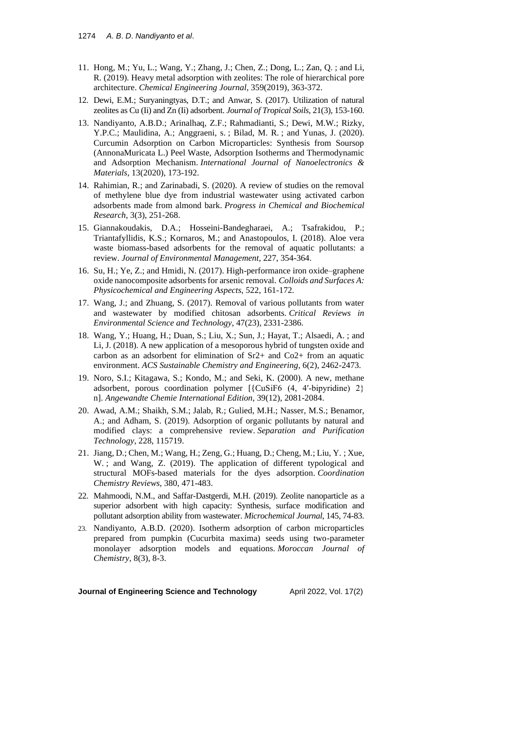- 11. Hong, M.; Yu, L.; Wang, Y.; Zhang, J.; Chen, Z.; Dong, L.; Zan, Q. ; and Li, R. (2019). Heavy metal adsorption with zeolites: The role of hierarchical pore architecture. *Chemical Engineering Journal*, 359(2019), 363-372.
- 12. Dewi, E.M.; Suryaningtyas, D.T.; and Anwar, S. (2017). Utilization of natural zeolites as Cu (Ii) and Zn (Ii) adsorbent. *Journal of Tropical Soils*, 21(3), 153-160.
- 13. Nandiyanto, A.B.D.; Arinalhaq, Z.F.; Rahmadianti, S.; Dewi, M.W.; Rizky, Y.P.C.; Maulidina, A.; Anggraeni, s. ; Bilad, M. R. ; and Yunas, J. (2020). Curcumin Adsorption on Carbon Microparticles: Synthesis from Soursop (AnnonaMuricata L.) Peel Waste, Adsorption Isotherms and Thermodynamic and Adsorption Mechanism. *International Journal of Nanoelectronics & Materials*, 13(2020), 173-192.
- 14. Rahimian, R.; and Zarinabadi, S. (2020). A review of studies on the removal of methylene blue dye from industrial wastewater using activated carbon adsorbents made from almond bark. *Progress in Chemical and Biochemical Research*, 3(3), 251-268.
- 15. Giannakoudakis, D.A.; Hosseini-Bandegharaei, A.; Tsafrakidou, P.; Triantafyllidis, K.S.; Kornaros, M.; and Anastopoulos, I. (2018). Aloe vera waste biomass-based adsorbents for the removal of aquatic pollutants: a review. *Journal of Environmental Management*, 227, 354-364.
- 16. Su, H.; Ye, Z.; and Hmidi, N. (2017). High-performance iron oxide–graphene oxide nanocomposite adsorbents for arsenic removal. *Colloids and Surfaces A: Physicochemical and Engineering Aspects*, 522, 161-172.
- 17. Wang, J.; and Zhuang, S. (2017). Removal of various pollutants from water and wastewater by modified chitosan adsorbents. *Critical Reviews in Environmental Science and Technology*, 47(23), 2331-2386.
- 18. Wang, Y.; Huang, H.; Duan, S.; Liu, X.; Sun, J.; Hayat, T.; Alsaedi, A. ; and Li, J. (2018). A new application of a mesoporous hybrid of tungsten oxide and carbon as an adsorbent for elimination of Sr2+ and Co2+ from an aquatic environment. *ACS Sustainable Chemistry and Engineering*, 6(2), 2462-2473.
- 19. Noro, S.I.; Kitagawa, S.; Kondo, M.; and Seki, K. (2000). A new, methane adsorbent, porous coordination polymer [{CuSiF6 (4, 4′‐bipyridine) 2} n]. *Angewandte Chemie International Edition*, 39(12), 2081-2084.
- 20. Awad, A.M.; Shaikh, S.M.; Jalab, R.; Gulied, M.H.; Nasser, M.S.; Benamor, A.; and Adham, S. (2019). Adsorption of organic pollutants by natural and modified clays: a comprehensive review. *Separation and Purification Technology*, 228, 115719.
- 21. Jiang, D.; Chen, M.; Wang, H.; Zeng, G.; Huang, D.; Cheng, M.; Liu, Y. ; Xue, W. ; and Wang, Z. (2019). The application of different typological and structural MOFs-based materials for the dyes adsorption. *Coordination Chemistry Reviews*, 380, 471-483.
- 22. Mahmoodi, N.M., and Saffar-Dastgerdi, M.H. (2019). Zeolite nanoparticle as a superior adsorbent with high capacity: Synthesis, surface modification and pollutant adsorption ability from wastewater. *Microchemical Journal*, 145, 74-83.
- 23. Nandiyanto, A.B.D. (2020). Isotherm adsorption of carbon microparticles prepared from pumpkin (Cucurbita maxima) seeds using two-parameter monolayer adsorption models and equations. *Moroccan Journal of Chemistry*, 8(3), 8-3.